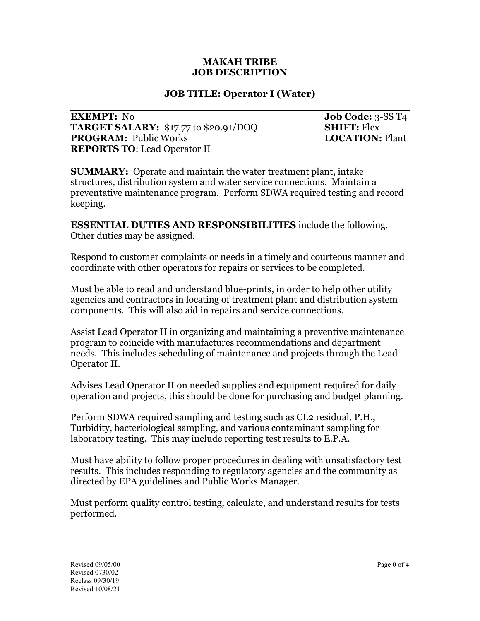### **MAKAH TRIBE JOB DESCRIPTION**

### **JOB TITLE: Operator I (Water)**

| <b>EXEMPT:</b> No                            |
|----------------------------------------------|
| <b>TARGET SALARY:</b> \$17.77 to \$20.91/DOC |
| <b>PROGRAM: Public Works</b>                 |
| <b>REPORTS TO: Lead Operator II</b>          |

**Job Code:** 3-SS T4 **TABLE SHIFT:** Flex **LOCATION:** Plant

**SUMMARY:** Operate and maintain the water treatment plant, intake structures, distribution system and water service connections. Maintain a preventative maintenance program. Perform SDWA required testing and record keeping.

**ESSENTIAL DUTIES AND RESPONSIBILITIES** include the following. Other duties may be assigned.

Respond to customer complaints or needs in a timely and courteous manner and coordinate with other operators for repairs or services to be completed.

Must be able to read and understand blue-prints, in order to help other utility agencies and contractors in locating of treatment plant and distribution system components. This will also aid in repairs and service connections.

Assist Lead Operator II in organizing and maintaining a preventive maintenance program to coincide with manufactures recommendations and department needs. This includes scheduling of maintenance and projects through the Lead Operator II.

Advises Lead Operator II on needed supplies and equipment required for daily operation and projects, this should be done for purchasing and budget planning.

Perform SDWA required sampling and testing such as CL2 residual, P.H., Turbidity, bacteriological sampling, and various contaminant sampling for laboratory testing. This may include reporting test results to E.P.A.

Must have ability to follow proper procedures in dealing with unsatisfactory test results. This includes responding to regulatory agencies and the community as directed by EPA guidelines and Public Works Manager.

Must perform quality control testing, calculate, and understand results for tests performed.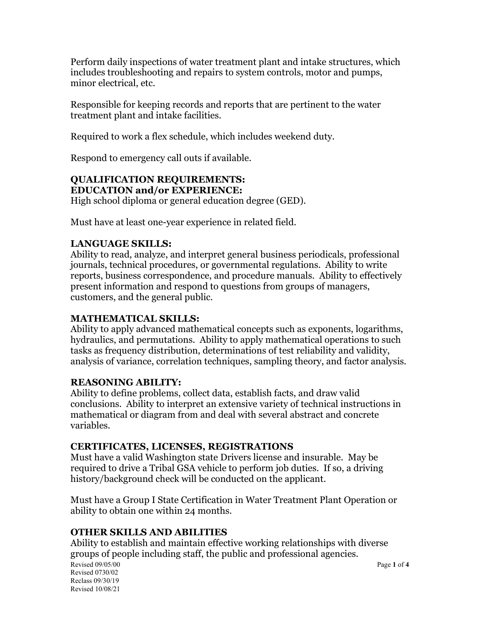Perform daily inspections of water treatment plant and intake structures, which includes troubleshooting and repairs to system controls, motor and pumps, minor electrical, etc.

Responsible for keeping records and reports that are pertinent to the water treatment plant and intake facilities.

Required to work a flex schedule, which includes weekend duty.

Respond to emergency call outs if available.

### **QUALIFICATION REQUIREMENTS: EDUCATION and/or EXPERIENCE:**

High school diploma or general education degree (GED).

Must have at least one-year experience in related field.

# **LANGUAGE SKILLS:**

Ability to read, analyze, and interpret general business periodicals, professional journals, technical procedures, or governmental regulations. Ability to write reports, business correspondence, and procedure manuals. Ability to effectively present information and respond to questions from groups of managers, customers, and the general public.

# **MATHEMATICAL SKILLS:**

Ability to apply advanced mathematical concepts such as exponents, logarithms, hydraulics, and permutations. Ability to apply mathematical operations to such tasks as frequency distribution, determinations of test reliability and validity, analysis of variance, correlation techniques, sampling theory, and factor analysis.

# **REASONING ABILITY:**

Ability to define problems, collect data, establish facts, and draw valid conclusions. Ability to interpret an extensive variety of technical instructions in mathematical or diagram from and deal with several abstract and concrete variables.

# **CERTIFICATES, LICENSES, REGISTRATIONS**

Must have a valid Washington state Drivers license and insurable. May be required to drive a Tribal GSA vehicle to perform job duties. If so, a driving history/background check will be conducted on the applicant.

Must have a Group I State Certification in Water Treatment Plant Operation or ability to obtain one within 24 months.

# **OTHER SKILLS AND ABILITIES**

Revised 09/05/00 Page 1 of 4 Revised 0730/02 Reclass 09/30/19 Revised 10/08/21 Ability to establish and maintain effective working relationships with diverse groups of people including staff, the public and professional agencies.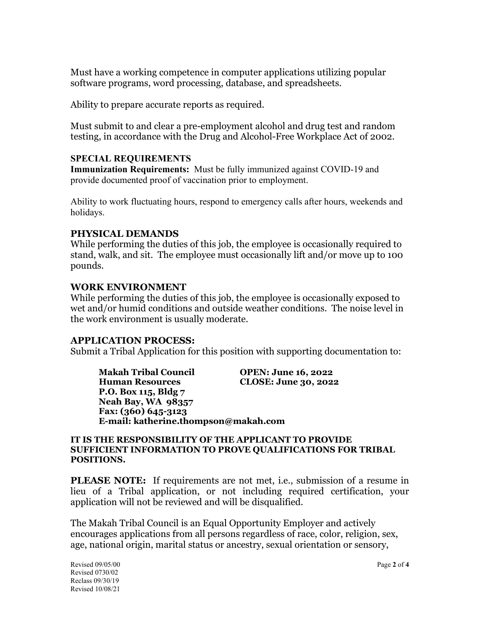Must have a working competence in computer applications utilizing popular software programs, word processing, database, and spreadsheets.

Ability to prepare accurate reports as required.

Must submit to and clear a pre-employment alcohol and drug test and random testing, in accordance with the Drug and Alcohol-Free Workplace Act of 2002.

### **SPECIAL REQUIREMENTS**

**Immunization Requirements:** Must be fully immunized against COVID-19 and provide documented proof of vaccination prior to employment.

Ability to work fluctuating hours, respond to emergency calls after hours, weekends and holidays.

## **PHYSICAL DEMANDS**

While performing the duties of this job, the employee is occasionally required to stand, walk, and sit. The employee must occasionally lift and/or move up to 100 pounds.

### **WORK ENVIRONMENT**

While performing the duties of this job, the employee is occasionally exposed to wet and/or humid conditions and outside weather conditions. The noise level in the work environment is usually moderate.

### **APPLICATION PROCESS:**

Submit a Tribal Application for this position with supporting documentation to:

**Makah Tribal Council OPEN: June 16, 2022 Human Resources CLOSE: June 30, 2022 P.O. Box 115, Bldg 7 Neah Bay, WA 98357 Fax: (360) 645-3123 E-mail: katherine.thompson@makah.com**

#### **IT IS THE RESPONSIBILITY OF THE APPLICANT TO PROVIDE SUFFICIENT INFORMATION TO PROVE QUALIFICATIONS FOR TRIBAL POSITIONS.**

**PLEASE NOTE:** If requirements are not met, i.e., submission of a resume in lieu of a Tribal application, or not including required certification, your application will not be reviewed and will be disqualified.

The Makah Tribal Council is an Equal Opportunity Employer and actively encourages applications from all persons regardless of race, color, religion, sex, age, national origin, marital status or ancestry, sexual orientation or sensory,